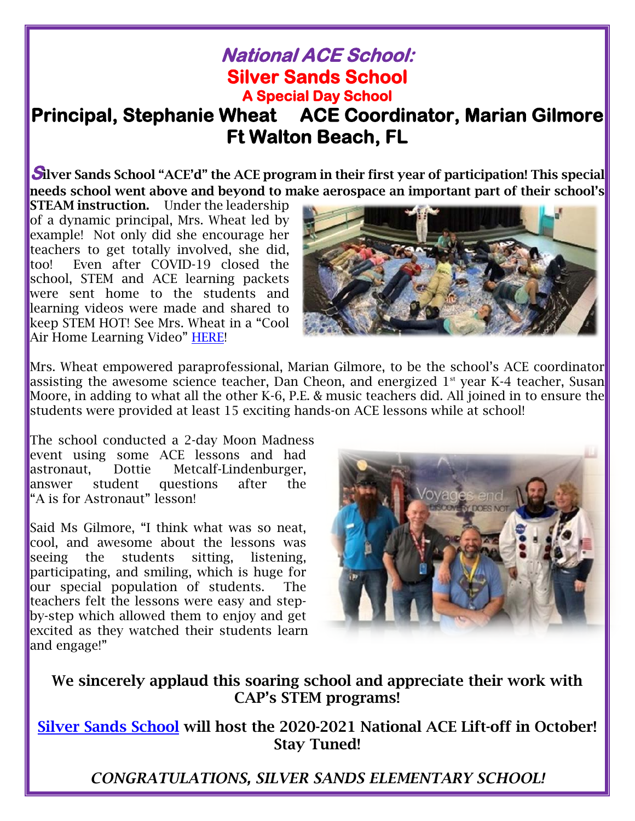## **National ACE School: Silver Sands School A Special Day School**

## **Principal, Stephanie Wheat ACE Coordinator, Marian Gilmore Ft Walton Beach, FL**

**S**ilver Sands School "ACE'd" the ACE program in their first year of participation! This special needs school went above and beyond to make aerospace an important part of their school's

**STEAM instruction.** Under the leadership of a dynamic principal, Mrs. Wheat led by example! Not only did she encourage her teachers to get totally involved, she did, too! Even after COVID-19 closed the school, STEM and ACE learning packets were sent home to the students and learning videos were made and shared to keep STEM HOT! See Mrs. Wheat in a "Cool Air Home Learning Video" [HERE!](https://youtu.be/NeFfPHOY6Oc)



Mrs. Wheat empowered paraprofessional, Marian Gilmore, to be the school's ACE coordinator assisting the awesome science teacher, Dan Cheon, and energized 1<sup>st</sup> year K-4 teacher, Susan Moore, in adding to what all the other K-6, P.E. & music teachers did. All joined in to ensure the students were provided at least 15 exciting hands-on ACE lessons while at school!

The school conducted a 2-day Moon Madness event using some ACE lessons and had astronaut, Dottie Metcalf-Lindenburger, answer student questions after the "A is for Astronaut" lesson!

Said Ms Gilmore, "I think what was so neat, cool, and awesome about the lessons was seeing the students sitting, listening, participating, and smiling, which is huge for our special population of students. The teachers felt the lessons were easy and stepby-step which allowed them to enjoy and get excited as they watched their students learn and engage!"



We sincerely applaud this soaring school and appreciate their work with CAP's STEM programs!

[Silver Sands](https://www.okaloosaschools.com/silversands/) School will host the 2020-2021 National ACE Lift-off in October! Stay Tuned!

*CONGRATULATIONS, SILVER SANDS ELEMENTARY SCHOOL!*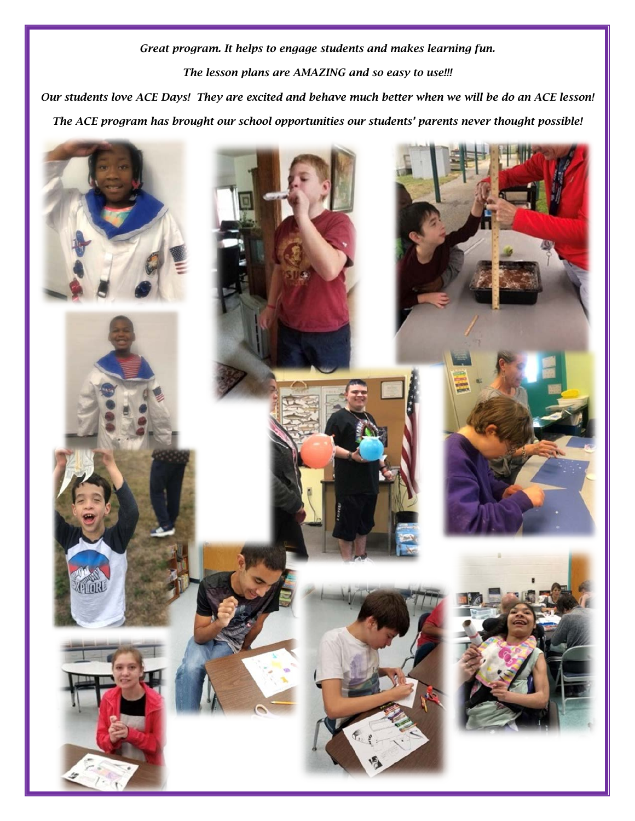*Great program. It helps to engage students and makes learning fun. The lesson plans are AMAZING and so easy to use!!!*

*Our students love ACE Days! They are excited and behave much better when we will be do an ACE lesson! The ACE program has brought our school opportunities our students' parents never thought possible!* 

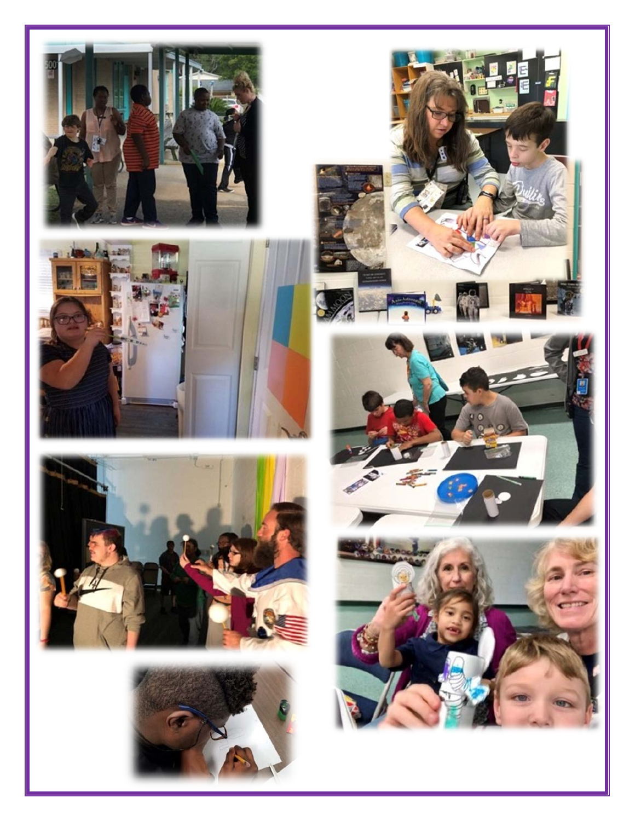